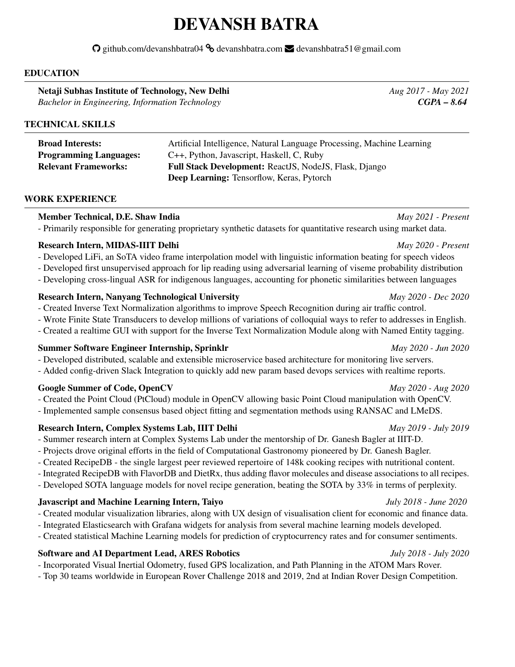# DEVANSH BATRA

 $\Omega$  github.com/devanshbatra04  $\delta$  devanshbatra.com  $\blacktriangleright$  devanshbatra51@gmail.com

### EDUCATION

Netaji Subhas Institute of Technology, New Delhi *Aug 2017 - May 2021 Bachelor in Engineering, Information Technology CGPA – 8.64*

# TECHNICAL SKILLS

| <b>Broad Interests:</b>       | Artificial Intelligence, Natural Language Processing, Machine Learning |
|-------------------------------|------------------------------------------------------------------------|
| <b>Programming Languages:</b> | C++, Python, Javascript, Haskell, C, Ruby                              |
| <b>Relevant Frameworks:</b>   | Full Stack Development: ReactJS, NodeJS, Flask, Django                 |
|                               | <b>Deep Learning: Tensorflow, Keras, Pytorch</b>                       |

### WORK EXPERIENCE

### Member Technical, D.E. Shaw India *May 2021 - Present*

- Primarily responsible for generating proprietary synthetic datasets for quantitative research using market data.

# Research Intern, MIDAS-IIIT Delhi *May 2020 - Present*

- Developed LiFi, an SoTA video frame interpolation model with linguistic information beating for speech videos
- Developed first unsupervised approach for lip reading using adversarial learning of viseme probability distribution
- Developing cross-lingual ASR for indigenous languages, accounting for phonetic similarities between languages

# Research Intern, Nanyang Technological University *May 2020 - Dec 2020*

- Created Inverse Text Normalization algorithms to improve Speech Recognition during air traffic control.
- Wrote Finite State Transducers to develop millions of variations of colloquial ways to refer to addresses in English.
- Created a realtime GUI with support for the Inverse Text Normalization Module along with Named Entity tagging.

# Summer Software Engineer Internship, Sprinklr *May 2020 - Jun 2020*

- Developed distributed, scalable and extensible microservice based architecture for monitoring live servers.
- Added config-driven Slack Integration to quickly add new param based devops services with realtime reports.

# Google Summer of Code, OpenCV *May 2020 - Aug 2020*

- Created the Point Cloud (PtCloud) module in OpenCV allowing basic Point Cloud manipulation with OpenCV.
- Implemented sample consensus based object fitting and segmentation methods using RANSAC and LMeDS.

# Research Intern, Complex Systems Lab, IIIT Delhi *May 2019 - July 2019*

- Summer research intern at Complex Systems Lab under the mentorship of Dr. Ganesh Bagler at IIIT-D.
- Projects drove original efforts in the field of Computational Gastronomy pioneered by Dr. Ganesh Bagler.
- Created RecipeDB the single largest peer reviewed repertoire of 148k cooking recipes with nutritional content.
- Integrated RecipeDB with FlavorDB and DietRx, thus adding flavor molecules and disease associations to all recipes.
- Developed SOTA language models for novel recipe generation, beating the SOTA by 33% in terms of perplexity.

# Javascript and Machine Learning Intern, Taiyo *July 2018 - June 2020*

- Created modular visualization libraries, along with UX design of visualisation client for economic and finance data.
- Integrated Elasticsearch with Grafana widgets for analysis from several machine learning models developed.
- Created statistical Machine Learning models for prediction of cryptocurrency rates and for consumer sentiments.

# Software and AI Department Lead, ARES Robotics *July 2018 - July 2020*

- Incorporated Visual Inertial Odometry, fused GPS localization, and Path Planning in the ATOM Mars Rover.

- Top 30 teams worldwide in European Rover Challenge 2018 and 2019, 2nd at Indian Rover Design Competition.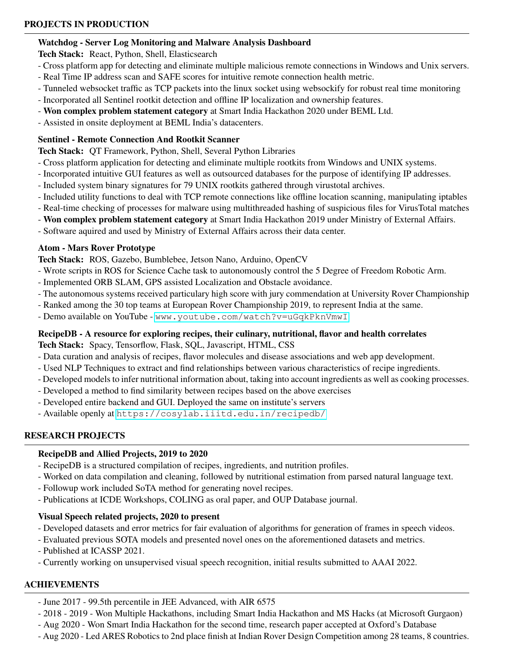# Watchdog - Server Log Monitoring and Malware Analysis Dashboard

Tech Stack: React, Python, Shell, Elasticsearch

- Cross platform app for detecting and eliminate multiple malicious remote connections in Windows and Unix servers.
- Real Time IP address scan and SAFE scores for intuitive remote connection health metric.
- Tunneled websocket traffic as TCP packets into the linux socket using websockify for robust real time monitoring
- Incorporated all Sentinel rootkit detection and offline IP localization and ownership features.
- Won complex problem statement category at Smart India Hackathon 2020 under BEML Ltd.
- Assisted in onsite deployment at BEML India's datacenters.

# Sentinel - Remote Connection And Rootkit Scanner

Tech Stack: QT Framework, Python, Shell, Several Python Libraries

- Cross platform application for detecting and eliminate multiple rootkits from Windows and UNIX systems.
- Incorporated intuitive GUI features as well as outsourced databases for the purpose of identifying IP addresses.
- Included system binary signatures for 79 UNIX rootkits gathered through virustotal archives.
- Included utility functions to deal with TCP remote connections like offline location scanning, manipulating iptables
- Real-time checking of processes for malware using multithreaded hashing of suspicious files for VirusTotal matches
- Won complex problem statement category at Smart India Hackathon 2019 under Ministry of External Affairs.
- Software aquired and used by Ministry of External Affairs across their data center.

# Atom - Mars Rover Prototype

Tech Stack: ROS, Gazebo, Bumblebee, Jetson Nano, Arduino, OpenCV

- Wrote scripts in ROS for Science Cache task to autonomously control the 5 Degree of Freedom Robotic Arm.
- Implemented ORB SLAM, GPS assisted Localization and Obstacle avoidance.
- The autonomous systems received particulary high score with jury commendation at University Rover Championship
- Ranked among the 30 top teams at European Rover Championship 2019, to represent India at the same.
- Demo available on YouTube <www.youtube.com/watch?v=uGqkPknVmwI>

# RecipeDB - A resource for exploring recipes, their culinary, nutritional, flavor and health correlates

Tech Stack: Spacy, Tensorflow, Flask, SQL, Javascript, HTML, CSS

- Data curation and analysis of recipes, flavor molecules and disease associations and web app development.
- Used NLP Techniques to extract and find relationships between various characteristics of recipe ingredients.
- Developed models to infer nutritional information about, taking into account ingredients as well as cooking processes.
- Developed a method to find similarity between recipes based on the above exercises
- Developed entire backend and GUI. Deployed the same on institute's servers
- Available openly at <https://cosylab.iiitd.edu.in/recipedb/>

# RESEARCH PROJECTS

# RecipeDB and Allied Projects, 2019 to 2020

- RecipeDB is a structured compilation of recipes, ingredients, and nutrition profiles.
- Worked on data compilation and cleaning, followed by nutritional estimation from parsed natural language text.
- Followup work included SoTA method for generating novel recipes.
- Publications at ICDE Workshops, COLING as oral paper, and OUP Database journal.

# Visual Speech related projects, 2020 to present

- Developed datasets and error metrics for fair evaluation of algorithms for generation of frames in speech videos.
- Evaluated previous SOTA models and presented novel ones on the aforementioned datasets and metrics.
- Published at ICASSP 2021.
- Currently working on unsupervised visual speech recognition, initial results submitted to AAAI 2022.

# ACHIEVEMENTS

- June 2017 99.5th percentile in JEE Advanced, with AIR 6575
- 2018 2019 Won Multiple Hackathons, including Smart India Hackathon and MS Hacks (at Microsoft Gurgaon)
- Aug 2020 Won Smart India Hackathon for the second time, research paper accepted at Oxford's Database
- Aug 2020 Led ARES Robotics to 2nd place finish at Indian Rover Design Competition among 28 teams, 8 countries.